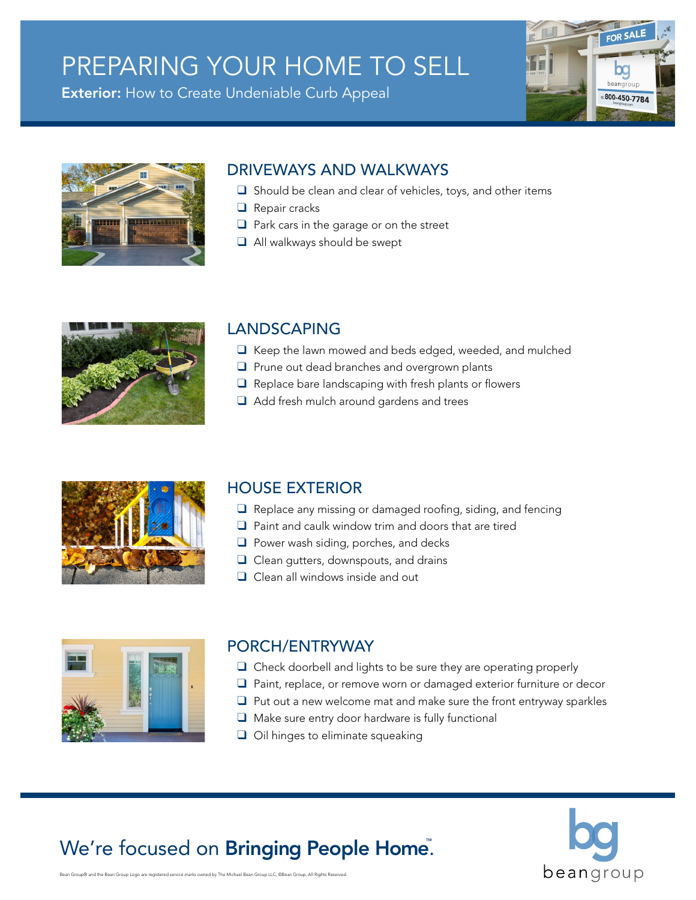# PREPARING YOUR HOME TO SELL

**Exterior:** How to Create Undeniable Curb Appeal





## DRIVEWAYS AND WALKWAYS

- $\Box$  Should be clean and clear of vehicles, toys, and other items
- $\Box$  Repair cracks
- $\Box$  Park cars in the garage or on the street
- $\Box$  All walkways should be swept

### LANDSCAPING

- $\Box$  Keep the lawn mowed and beds edged, weeded, and mulched
- $\Box$  Prune out dead branches and overgrown plants
- $\Box$  Replace bare landscaping with fresh plants or flowers
- $\Box$  Add fresh mulch around gardens and trees

### HOUSE EXTERIOR

- $\Box$  Replace any missing or damaged roofing, siding, and fencing
- $\Box$  Paint and caulk window trim and doors that are tired
- $\Box$  Power wash siding, porches, and decks
- $\Box$  Clean gutters, downspouts, and drains
- $\Box$  Clean all windows inside and out



### PORCH/ENTRYWAY

- $\Box$  Check doorbell and lights to be sure they are operating properly
- $\Box$  Paint, replace, or remove worn or damaged exterior furniture or decor
- $\Box$  Put out a new welcome mat and make sure the front entryway sparkles
- $\Box$  Make sure entry door hardware is fully functional
- $\Box$  Oil hinges to eliminate squeaking

# We're focused on **Bringing People Home**.